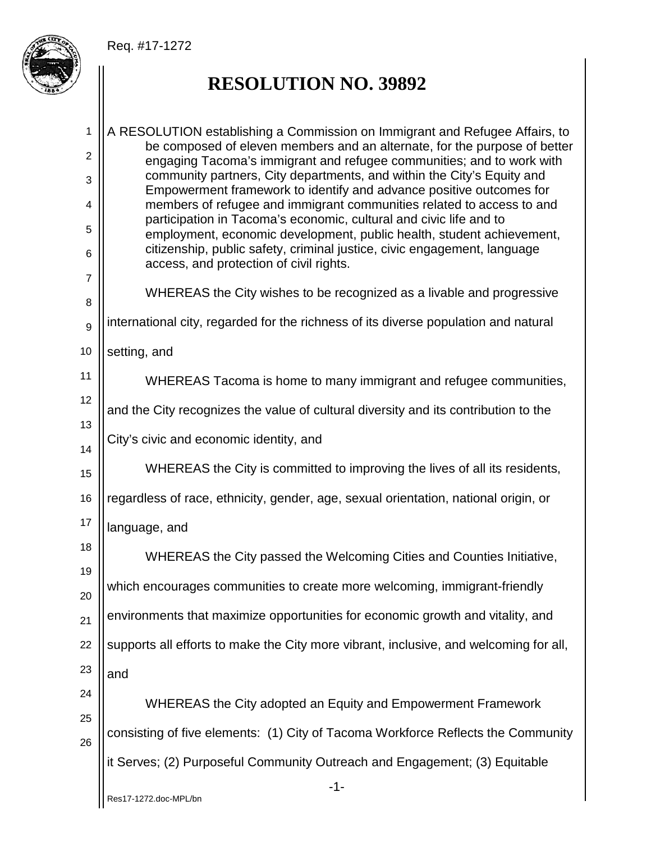## Req. #17-1272



## **RESOLUTION NO. 39892**

-1- Res17-1272.doc-MPL/bn 1 2 3 4 5 6 7 8 9 10 11 12 13 14 15 16 17 18 19 20 21 22 23 24 25 26 A RESOLUTION establishing a Commission on Immigrant and Refugee Affairs, to be composed of eleven members and an alternate, for the purpose of better engaging Tacoma's immigrant and refugee communities; and to work with community partners, City departments, and within the City's Equity and Empowerment framework to identify and advance positive outcomes for members of refugee and immigrant communities related to access to and participation in Tacoma's economic, cultural and civic life and to employment, economic development, public health, student achievement, citizenship, public safety, criminal justice, civic engagement, language access, and protection of civil rights. WHEREAS the City wishes to be recognized as a livable and progressive international city, regarded for the richness of its diverse population and natural setting, and WHEREAS Tacoma is home to many immigrant and refugee communities, and the City recognizes the value of cultural diversity and its contribution to the City's civic and economic identity, and WHEREAS the City is committed to improving the lives of all its residents, regardless of race, ethnicity, gender, age, sexual orientation, national origin, or language, and WHEREAS the City passed the Welcoming Cities and Counties Initiative, which encourages communities to create more welcoming, immigrant-friendly environments that maximize opportunities for economic growth and vitality, and supports all efforts to make the City more vibrant, inclusive, and welcoming for all, and WHEREAS the City adopted an Equity and Empowerment Framework consisting of five elements: (1) City of Tacoma Workforce Reflects the Community it Serves; (2) Purposeful Community Outreach and Engagement; (3) Equitable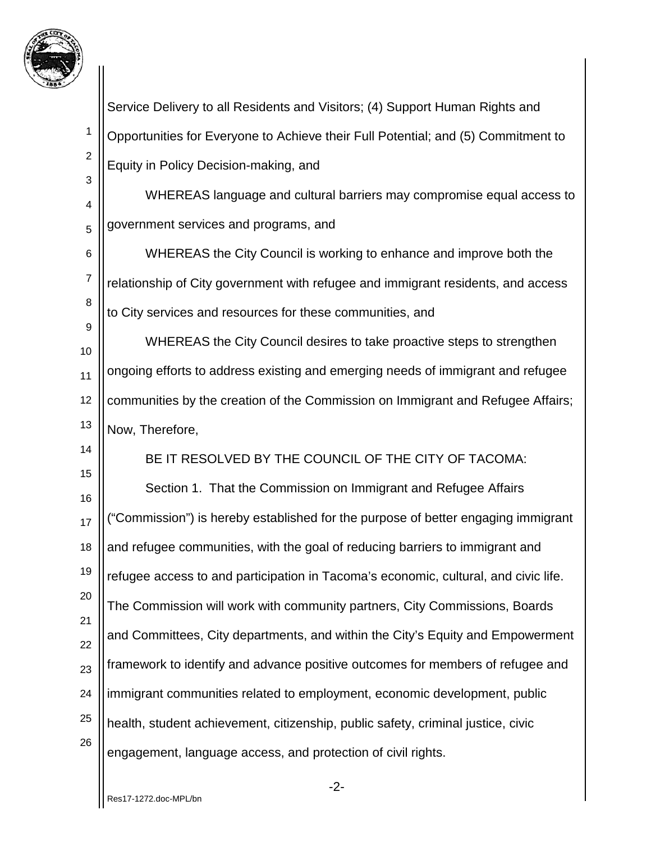

1 2 3 4 5 6 7 8 9 10 11 12 13 14 15 16 17 18 19 20 21 22 23 24 25 26 Service Delivery to all Residents and Visitors; (4) Support Human Rights and Opportunities for Everyone to Achieve their Full Potential; and (5) Commitment to Equity in Policy Decision-making, and WHEREAS language and cultural barriers may compromise equal access to government services and programs, and WHEREAS the City Council is working to enhance and improve both the relationship of City government with refugee and immigrant residents, and access to City services and resources for these communities, and WHEREAS the City Council desires to take proactive steps to strengthen ongoing efforts to address existing and emerging needs of immigrant and refugee communities by the creation of the Commission on Immigrant and Refugee Affairs; Now, Therefore, BE IT RESOLVED BY THE COUNCIL OF THE CITY OF TACOMA: Section 1. That the Commission on Immigrant and Refugee Affairs ("Commission") is hereby established for the purpose of better engaging immigrant and refugee communities, with the goal of reducing barriers to immigrant and refugee access to and participation in Tacoma's economic, cultural, and civic life. The Commission will work with community partners, City Commissions, Boards and Committees, City departments, and within the City's Equity and Empowerment framework to identify and advance positive outcomes for members of refugee and immigrant communities related to employment, economic development, public health, student achievement, citizenship, public safety, criminal justice, civic engagement, language access, and protection of civil rights.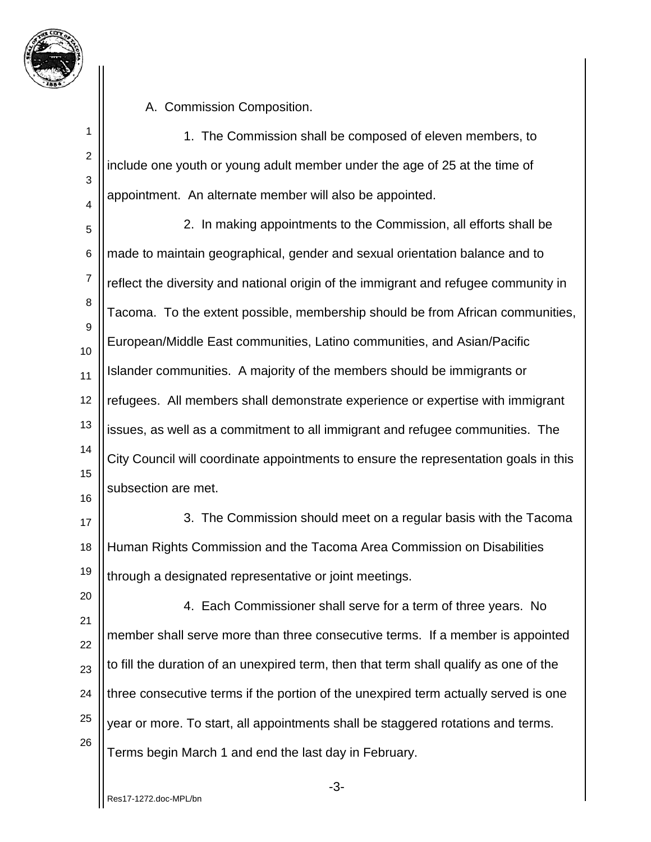

A. Commission Composition.

1 2 3 4 1. The Commission shall be composed of eleven members, to include one youth or young adult member under the age of 25 at the time of appointment. An alternate member will also be appointed.

5 6 7 8 9 10 11 12 13 14 15 16 2. In making appointments to the Commission, all efforts shall be made to maintain geographical, gender and sexual orientation balance and to reflect the diversity and national origin of the immigrant and refugee community in Tacoma. To the extent possible, membership should be from African communities, European/Middle East communities, Latino communities, and Asian/Pacific Islander communities. A majority of the members should be immigrants or refugees. All members shall demonstrate experience or expertise with immigrant issues, as well as a commitment to all immigrant and refugee communities. The City Council will coordinate appointments to ensure the representation goals in this subsection are met.

17 18 19 3. The Commission should meet on a regular basis with the Tacoma Human Rights Commission and the Tacoma Area Commission on Disabilities through a designated representative or joint meetings.

20 21 22 23 24 25 26 4. Each Commissioner shall serve for a term of three years. No member shall serve more than three consecutive terms. If a member is appointed to fill the duration of an unexpired term, then that term shall qualify as one of the three consecutive terms if the portion of the unexpired term actually served is one year or more. To start, all appointments shall be staggered rotations and terms. Terms begin March 1 and end the last day in February.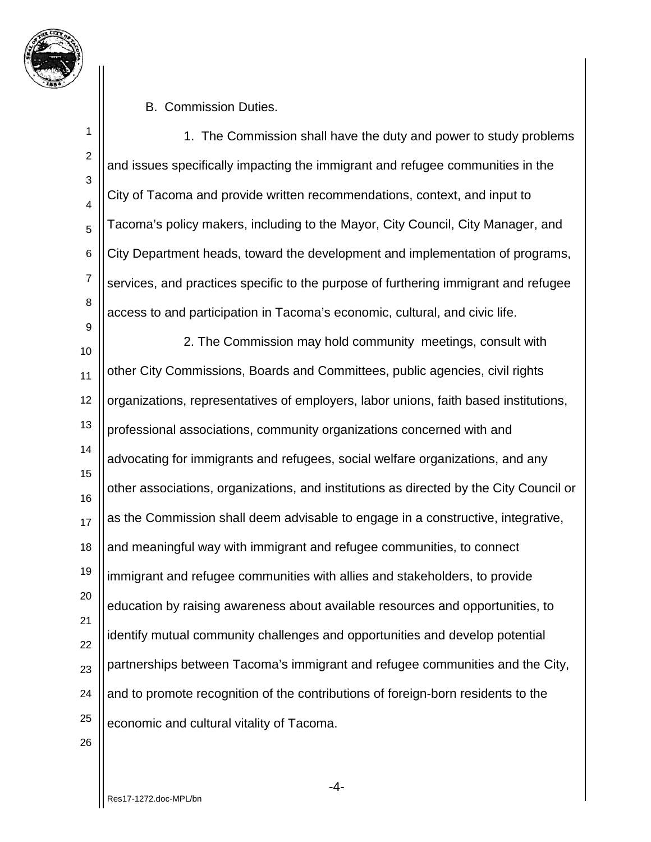

B. Commission Duties.

1 2 3 4 5 6 7 8 9 10 11 12 13 14 15 16 17 18 19 20 21 22 23 24 25 1. The Commission shall have the duty and power to study problems and issues specifically impacting the immigrant and refugee communities in the City of Tacoma and provide written recommendations, context, and input to Tacoma's policy makers, including to the Mayor, City Council, City Manager, and City Department heads, toward the development and implementation of programs, services, and practices specific to the purpose of furthering immigrant and refugee access to and participation in Tacoma's economic, cultural, and civic life. 2. The Commission may hold community meetings, consult with other City Commissions, Boards and Committees, public agencies, civil rights organizations, representatives of employers, labor unions, faith based institutions, professional associations, community organizations concerned with and advocating for immigrants and refugees, social welfare organizations, and any other associations, organizations, and institutions as directed by the City Council or as the Commission shall deem advisable to engage in a constructive, integrative, and meaningful way with immigrant and refugee communities, to connect immigrant and refugee communities with allies and stakeholders, to provide education by raising awareness about available resources and opportunities, to identify mutual community challenges and opportunities and develop potential partnerships between Tacoma's immigrant and refugee communities and the City, and to promote recognition of the contributions of foreign-born residents to the economic and cultural vitality of Tacoma.

26

-4-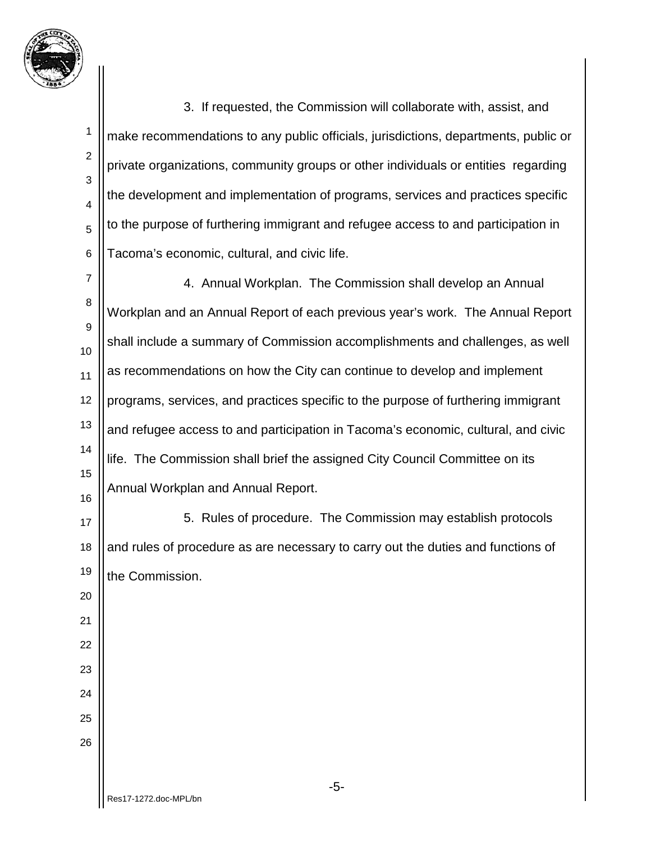

1

2

3

4

5

6

3. If requested, the Commission will collaborate with, assist, and make recommendations to any public officials, jurisdictions, departments, public or private organizations, community groups or other individuals or entities regarding the development and implementation of programs, services and practices specific to the purpose of furthering immigrant and refugee access to and participation in Tacoma's economic, cultural, and civic life.

7 8 9 10 11 12 13 14 15 16 4. Annual Workplan. The Commission shall develop an Annual Workplan and an Annual Report of each previous year's work. The Annual Report shall include a summary of Commission accomplishments and challenges, as well as recommendations on how the City can continue to develop and implement programs, services, and practices specific to the purpose of furthering immigrant and refugee access to and participation in Tacoma's economic, cultural, and civic life. The Commission shall brief the assigned City Council Committee on its Annual Workplan and Annual Report.

17 18 19 20 5. Rules of procedure. The Commission may establish protocols and rules of procedure as are necessary to carry out the duties and functions of the Commission.

24 25

26

21

22

23